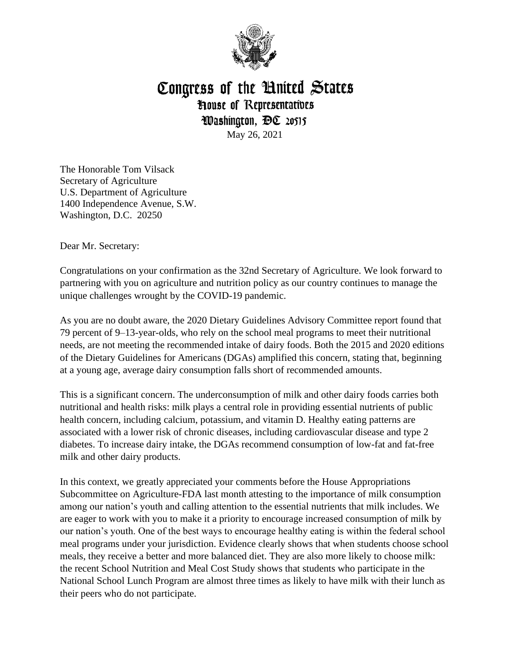

## Congress of the Hnited States **House of Representatives** Washington, DC 20515 May 26, 2021

The Honorable Tom Vilsack Secretary of Agriculture U.S. Department of Agriculture 1400 Independence Avenue, S.W. Washington, D.C. 20250

Dear Mr. Secretary:

Congratulations on your confirmation as the 32nd Secretary of Agriculture. We look forward to partnering with you on agriculture and nutrition policy as our country continues to manage the unique challenges wrought by the COVID-19 pandemic.

As you are no doubt aware, the 2020 Dietary Guidelines Advisory Committee report found that 79 percent of 9–13-year-olds, who rely on the school meal programs to meet their nutritional needs, are not meeting the recommended intake of dairy foods. Both the 2015 and 2020 editions of the Dietary Guidelines for Americans (DGAs) amplified this concern, stating that, beginning at a young age, average dairy consumption falls short of recommended amounts.

This is a significant concern. The underconsumption of milk and other dairy foods carries both nutritional and health risks: milk plays a central role in providing essential nutrients of public health concern, including calcium, potassium, and vitamin D. Healthy eating patterns are associated with a lower risk of chronic diseases, including cardiovascular disease and type 2 diabetes. To increase dairy intake, the DGAs recommend consumption of low-fat and fat-free milk and other dairy products.

In this context, we greatly appreciated your comments before the House Appropriations Subcommittee on Agriculture-FDA last month attesting to the importance of milk consumption among our nation's youth and calling attention to the essential nutrients that milk includes. We are eager to work with you to make it a priority to encourage increased consumption of milk by our nation's youth. One of the best ways to encourage healthy eating is within the federal school meal programs under your jurisdiction. Evidence clearly shows that when students choose school meals, they receive a better and more balanced diet. They are also more likely to choose milk: the recent School Nutrition and Meal Cost Study shows that students who participate in the National School Lunch Program are almost three times as likely to have milk with their lunch as their peers who do not participate.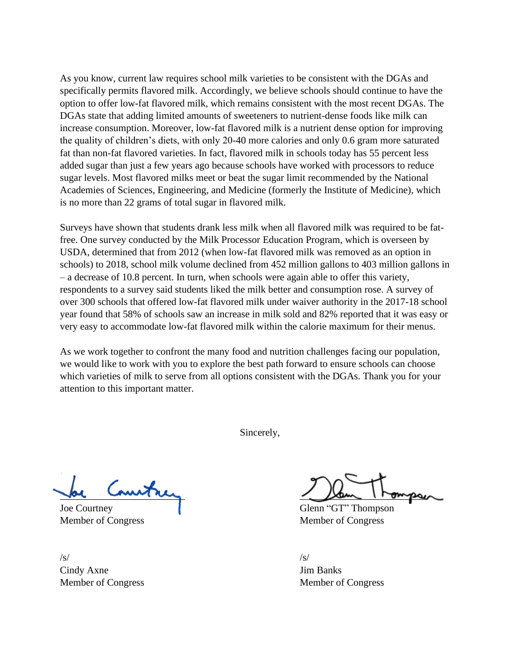As you know, current law requires school milk varieties to be consistent with the DGAs and specifically permits flavored milk. Accordingly, we believe schools should continue to have the option to offer low-fat flavored milk, which remains consistent with the most recent DGAs. The DGAs state that adding limited amounts of sweeteners to nutrient-dense foods like milk can increase consumption. Moreover, low-fat flavored milk is a nutrient dense option for improving the quality of children's diets, with only 20-40 more calories and only 0.6 gram more saturated fat than non-fat flavored varieties. In fact, flavored milk in schools today has 55 percent less added sugar than just a few years ago because schools have worked with processors to reduce sugar levels. Most flavored milks meet or beat the sugar limit recommended by the National Academies of Sciences, Engineering, and Medicine (formerly the Institute of Medicine), which is no more than 22 grams of total sugar in flavored milk.

Surveys have shown that students drank less milk when all flavored milk was required to be fatfree. One survey conducted by the Milk Processor Education Program, which is overseen by USDA, determined that from 2012 (when low-fat flavored milk was removed as an option in schools) to 2018, school milk volume declined from 452 million gallons to 403 million gallons in – a decrease of 10.8 percent. In turn, when schools were again able to offer this variety, respondents to a survey said students liked the milk better and consumption rose. A survey of over 300 schools that offered low-fat flavored milk under waiver authority in the 2017-18 school year found that 58% of schools saw an increase in milk sold and 82% reported that it was easy or very easy to accommodate low-fat flavored milk within the calorie maximum for their menus.

As we work together to confront the many food and nutrition challenges facing our population, we would like to work with you to explore the best path forward to ensure schools can choose which varieties of milk to serve from all options consistent with the DGAs. Thank you for your attention to this important matter.

Sincerely,

Member of Congress Member of Congress

 $\sqrt{s}$ / $\sqrt{s}$ / $\sqrt{s}$ / $\sqrt{s}$ / $\sqrt{s}$ / $\sqrt{s}$ / $\sqrt{s}$ / $\sqrt{s}$ / $\sqrt{s}$ / $\sqrt{s}$ / $\sqrt{s}$ / $\sqrt{s}$ / $\sqrt{s}$ / $\sqrt{s}$ / $\sqrt{s}$ / $\sqrt{s}$ / $\sqrt{s}$ / $\sqrt{s}$ / $\sqrt{s}$ / $\sqrt{s}$ / $\sqrt{s}$ / $\sqrt{s}$ / $\sqrt{s}$ / $\sqrt{s}$ / $\sqrt{s}$ / $\sqrt{s}$ / $\sqrt{s}$ / $\sqrt{s}$ / $\sqrt{s}$ / $\sqrt{s}$ / $\sqrt{s}$ / $\sqrt{s$ Cindy Axne Jim Banks Member of Congress Member of Congress

por comment

Joe Courtney Glenn "GT" Thompson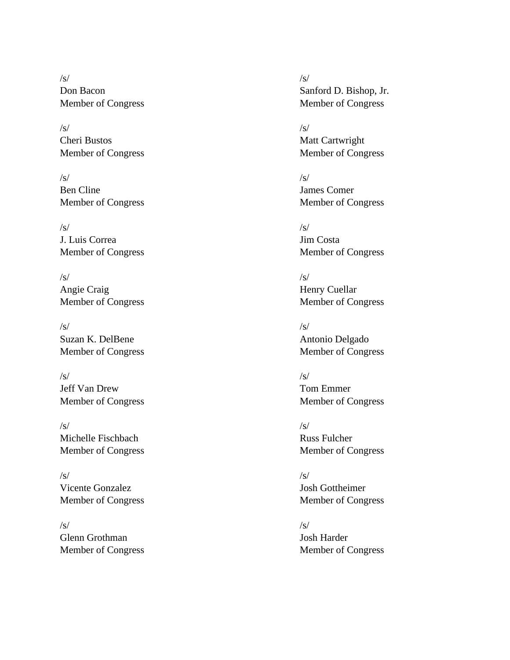$\sqrt{s}$ / $\sqrt{s}$ / $\sqrt{s}$ / $\sqrt{s}$ / $\sqrt{s}$ / $\sqrt{s}$ / $\sqrt{s}$ / $\sqrt{s}$ / $\sqrt{s}$ / $\sqrt{s}$ / $\sqrt{s}$ / $\sqrt{s}$ / $\sqrt{s}$ / $\sqrt{s}$ / $\sqrt{s}$ / $\sqrt{s}$ / $\sqrt{s}$ / $\sqrt{s}$ / $\sqrt{s}$ / $\sqrt{s}$ / $\sqrt{s}$ / $\sqrt{s}$ / $\sqrt{s}$ / $\sqrt{s}$ / $\sqrt{s}$ / $\sqrt{s}$ / $\sqrt{s}$ / $\sqrt{s}$ / $\sqrt{s}$ / $\sqrt{s}$ / $\sqrt{s}$ / $\sqrt{s$ 

 $\sqrt{s}$ / $\sqrt{s}$ / $\sqrt{s}$ / $\sqrt{s}$ / $\sqrt{s}$ / $\sqrt{s}$ / $\sqrt{s}$ / $\sqrt{s}$ / $\sqrt{s}$ / $\sqrt{s}$ / $\sqrt{s}$ / $\sqrt{s}$ / $\sqrt{s}$ / $\sqrt{s}$ / $\sqrt{s}$ / $\sqrt{s}$ / $\sqrt{s}$ / $\sqrt{s}$ / $\sqrt{s}$ / $\sqrt{s}$ / $\sqrt{s}$ / $\sqrt{s}$ / $\sqrt{s}$ / $\sqrt{s}$ / $\sqrt{s}$ / $\sqrt{s}$ / $\sqrt{s}$ / $\sqrt{s}$ / $\sqrt{s}$ / $\sqrt{s}$ / $\sqrt{s}$ / $\sqrt{s$ Cheri Bustos Matt Cartwright

 $\sqrt{s}$ / $\sqrt{s}$ / $\sqrt{s}$ / $\sqrt{s}$ / $\sqrt{s}$ / $\sqrt{s}$ / $\sqrt{s}$ / $\sqrt{s}$ / $\sqrt{s}$ / $\sqrt{s}$ / $\sqrt{s}$ / $\sqrt{s}$ / $\sqrt{s}$ / $\sqrt{s}$ / $\sqrt{s}$ / $\sqrt{s}$ / $\sqrt{s}$ / $\sqrt{s}$ / $\sqrt{s}$ / $\sqrt{s}$ / $\sqrt{s}$ / $\sqrt{s}$ / $\sqrt{s}$ / $\sqrt{s}$ / $\sqrt{s}$ / $\sqrt{s}$ / $\sqrt{s}$ / $\sqrt{s}$ / $\sqrt{s}$ / $\sqrt{s}$ / $\sqrt{s}$ / $\sqrt{s$ Ben Cline James Comer Member of Congress Member of Congress

 $\sqrt{s}$ / $\sqrt{s}$ / $\sqrt{s}$ / $\sqrt{s}$ / $\sqrt{s}$ / $\sqrt{s}$ / $\sqrt{s}$ / $\sqrt{s}$ / $\sqrt{s}$ / $\sqrt{s}$ / $\sqrt{s}$ / $\sqrt{s}$ / $\sqrt{s}$ / $\sqrt{s}$ / $\sqrt{s}$ / $\sqrt{s}$ / $\sqrt{s}$ / $\sqrt{s}$ / $\sqrt{s}$ / $\sqrt{s}$ / $\sqrt{s}$ / $\sqrt{s}$ / $\sqrt{s}$ / $\sqrt{s}$ / $\sqrt{s}$ / $\sqrt{s}$ / $\sqrt{s}$ / $\sqrt{s}$ / $\sqrt{s}$ / $\sqrt{s}$ / $\sqrt{s}$ / $\sqrt{s$ J. Luis Correa Jim Costa

 $\sqrt{s}$ / $\sqrt{s}$ / $\sqrt{s}$ / $\sqrt{s}$ / $\sqrt{s}$ / $\sqrt{s}$ / $\sqrt{s}$ / $\sqrt{s}$ / $\sqrt{s}$ / $\sqrt{s}$ / $\sqrt{s}$ / $\sqrt{s}$ / $\sqrt{s}$ / $\sqrt{s}$ / $\sqrt{s}$ / $\sqrt{s}$ / $\sqrt{s}$ / $\sqrt{s}$ / $\sqrt{s}$ / $\sqrt{s}$ / $\sqrt{s}$ / $\sqrt{s}$ / $\sqrt{s}$ / $\sqrt{s}$ / $\sqrt{s}$ / $\sqrt{s}$ / $\sqrt{s}$ / $\sqrt{s}$ / $\sqrt{s}$ / $\sqrt{s}$ / $\sqrt{s}$ / $\sqrt{s$ Angie Craig Henry Cuellar Member of Congress Member of Congress

 $\sqrt{s}$ / $\sqrt{s}$ / $\sqrt{s}$ / $\sqrt{s}$ / $\sqrt{s}$ / $\sqrt{s}$ / $\sqrt{s}$ / $\sqrt{s}$ / $\sqrt{s}$ / $\sqrt{s}$ / $\sqrt{s}$ / $\sqrt{s}$ / $\sqrt{s}$ / $\sqrt{s}$ / $\sqrt{s}$ / $\sqrt{s}$ / $\sqrt{s}$ / $\sqrt{s}$ / $\sqrt{s}$ / $\sqrt{s}$ / $\sqrt{s}$ / $\sqrt{s}$ / $\sqrt{s}$ / $\sqrt{s}$ / $\sqrt{s}$ / $\sqrt{s}$ / $\sqrt{s}$ / $\sqrt{s}$ / $\sqrt{s}$ / $\sqrt{s}$ / $\sqrt{s}$ / $\sqrt{s$ Suzan K. DelBene Antonio Delgado

 $\sqrt{s}$ / $\sqrt{s}$ / $\sqrt{s}$ / $\sqrt{s}$ / $\sqrt{s}$ / $\sqrt{s}$ / $\sqrt{s}$ / $\sqrt{s}$ / $\sqrt{s}$ / $\sqrt{s}$ / $\sqrt{s}$ / $\sqrt{s}$ / $\sqrt{s}$ / $\sqrt{s}$ / $\sqrt{s}$ / $\sqrt{s}$ / $\sqrt{s}$ / $\sqrt{s}$ / $\sqrt{s}$ / $\sqrt{s}$ / $\sqrt{s}$ / $\sqrt{s}$ / $\sqrt{s}$ / $\sqrt{s}$ / $\sqrt{s}$ / $\sqrt{s}$ / $\sqrt{s}$ / $\sqrt{s}$ / $\sqrt{s}$ / $\sqrt{s}$ / $\sqrt{s}$ / $\sqrt{s$ Jeff Van Drew Tom Emmer Member of Congress Member of Congress

 $\sqrt{s}$ / $\sqrt{s}$ / $\sqrt{s}$ / $\sqrt{s}$ / $\sqrt{s}$ / $\sqrt{s}$ / $\sqrt{s}$ / $\sqrt{s}$ / $\sqrt{s}$ / $\sqrt{s}$ / $\sqrt{s}$ / $\sqrt{s}$ / $\sqrt{s}$ / $\sqrt{s}$ / $\sqrt{s}$ / $\sqrt{s}$ / $\sqrt{s}$ / $\sqrt{s}$ / $\sqrt{s}$ / $\sqrt{s}$ / $\sqrt{s}$ / $\sqrt{s}$ / $\sqrt{s}$ / $\sqrt{s}$ / $\sqrt{s}$ / $\sqrt{s}$ / $\sqrt{s}$ / $\sqrt{s}$ / $\sqrt{s}$ / $\sqrt{s}$ / $\sqrt{s}$ / $\sqrt{s$ Michelle Fischbach Russ Fulcher Member of Congress Member of Congress

 $\sqrt{s}$ / $\sqrt{s}$ / $\sqrt{s}$ / $\sqrt{s}$ / $\sqrt{s}$ / $\sqrt{s}$ / $\sqrt{s}$ / $\sqrt{s}$ / $\sqrt{s}$ / $\sqrt{s}$ / $\sqrt{s}$ / $\sqrt{s}$ / $\sqrt{s}$ / $\sqrt{s}$ / $\sqrt{s}$ / $\sqrt{s}$ / $\sqrt{s}$ / $\sqrt{s}$ / $\sqrt{s}$ / $\sqrt{s}$ / $\sqrt{s}$ / $\sqrt{s}$ / $\sqrt{s}$ / $\sqrt{s}$ / $\sqrt{s}$ / $\sqrt{s}$ / $\sqrt{s}$ / $\sqrt{s}$ / $\sqrt{s}$ / $\sqrt{s}$ / $\sqrt{s}$ / $\sqrt{s$ Vicente Gonzalez Josh Gottheimer

 $\sqrt{s}$ / $\sqrt{s}$ / $\sqrt{s}$ / $\sqrt{s}$ / $\sqrt{s}$ / $\sqrt{s}$ / $\sqrt{s}$ / $\sqrt{s}$ / $\sqrt{s}$ / $\sqrt{s}$ / $\sqrt{s}$ / $\sqrt{s}$ / $\sqrt{s}$ / $\sqrt{s}$ / $\sqrt{s}$ / $\sqrt{s}$ / $\sqrt{s}$ / $\sqrt{s}$ / $\sqrt{s}$ / $\sqrt{s}$ / $\sqrt{s}$ / $\sqrt{s}$ / $\sqrt{s}$ / $\sqrt{s}$ / $\sqrt{s}$ / $\sqrt{s}$ / $\sqrt{s}$ / $\sqrt{s}$ / $\sqrt{s}$ / $\sqrt{s}$ / $\sqrt{s}$ / $\sqrt{s$ Glenn Grothman Josh Harder

Don Bacon Sanford D. Bishop, Jr. Member of Congress Member of Congress

Member of Congress Member of Congress

Member of Congress Member of Congress

Member of Congress Member of Congress

Member of Congress Member of Congress

Member of Congress Member of Congress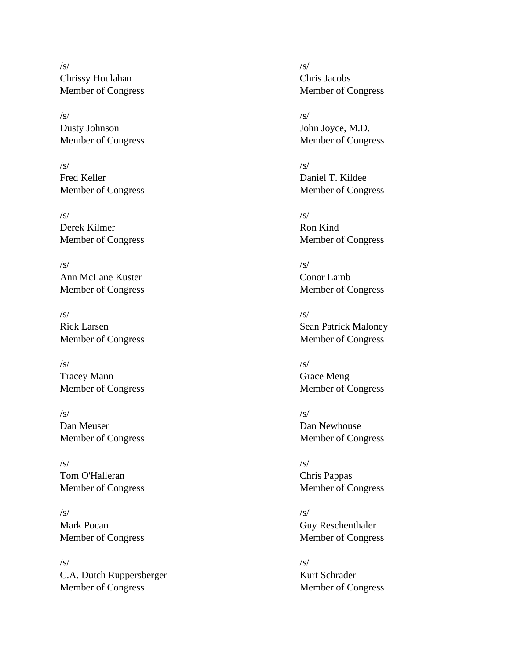$\sqrt{s}$ / $\sqrt{s}$ / $\sqrt{s}$ / $\sqrt{s}$ / $\sqrt{s}$ / $\sqrt{s}$ / $\sqrt{s}$ / $\sqrt{s}$ / $\sqrt{s}$ / $\sqrt{s}$ / $\sqrt{s}$ / $\sqrt{s}$ / $\sqrt{s}$ / $\sqrt{s}$ / $\sqrt{s}$ / $\sqrt{s}$ / $\sqrt{s}$ / $\sqrt{s}$ / $\sqrt{s}$ / $\sqrt{s}$ / $\sqrt{s}$ / $\sqrt{s}$ / $\sqrt{s}$ / $\sqrt{s}$ / $\sqrt{s}$ / $\sqrt{s}$ / $\sqrt{s}$ / $\sqrt{s}$ / $\sqrt{s}$ / $\sqrt{s}$ / $\sqrt{s}$ / $\sqrt{s$ Chrissy Houlahan Chris Jacobs Member of Congress Member of Congress

 $\sqrt{s}$ / $\sqrt{s}$ / $\sqrt{s}$ / $\sqrt{s}$ / $\sqrt{s}$ / $\sqrt{s}$ / $\sqrt{s}$ / $\sqrt{s}$ / $\sqrt{s}$ / $\sqrt{s}$ / $\sqrt{s}$ / $\sqrt{s}$ / $\sqrt{s}$ / $\sqrt{s}$ / $\sqrt{s}$ / $\sqrt{s}$ / $\sqrt{s}$ / $\sqrt{s}$ / $\sqrt{s}$ / $\sqrt{s}$ / $\sqrt{s}$ / $\sqrt{s}$ / $\sqrt{s}$ / $\sqrt{s}$ / $\sqrt{s}$ / $\sqrt{s}$ / $\sqrt{s}$ / $\sqrt{s}$ / $\sqrt{s}$ / $\sqrt{s}$ / $\sqrt{s}$ / $\sqrt{s$ Dusty Johnson John Joyce, M.D.

 $\sqrt{s}$ / $\sqrt{s}$ / $\sqrt{s}$ / $\sqrt{s}$ / $\sqrt{s}$ / $\sqrt{s}$ / $\sqrt{s}$ / $\sqrt{s}$ / $\sqrt{s}$ / $\sqrt{s}$ / $\sqrt{s}$ / $\sqrt{s}$ / $\sqrt{s}$ / $\sqrt{s}$ / $\sqrt{s}$ / $\sqrt{s}$ / $\sqrt{s}$ / $\sqrt{s}$ / $\sqrt{s}$ / $\sqrt{s}$ / $\sqrt{s}$ / $\sqrt{s}$ / $\sqrt{s}$ / $\sqrt{s}$ / $\sqrt{s}$ / $\sqrt{s}$ / $\sqrt{s}$ / $\sqrt{s}$ / $\sqrt{s}$ / $\sqrt{s}$ / $\sqrt{s}$ / $\sqrt{s$ Fred Keller Daniel T. Kildee Member of Congress Member of Congress

 $\sqrt{s}$ / $\sqrt{s}$ / $\sqrt{s}$ / $\sqrt{s}$ / $\sqrt{s}$ / $\sqrt{s}$ / $\sqrt{s}$ / $\sqrt{s}$ / $\sqrt{s}$ / $\sqrt{s}$ / $\sqrt{s}$ / $\sqrt{s}$ / $\sqrt{s}$ / $\sqrt{s}$ / $\sqrt{s}$ / $\sqrt{s}$ / $\sqrt{s}$ / $\sqrt{s}$ / $\sqrt{s}$ / $\sqrt{s}$ / $\sqrt{s}$ / $\sqrt{s}$ / $\sqrt{s}$ / $\sqrt{s}$ / $\sqrt{s}$ / $\sqrt{s}$ / $\sqrt{s}$ / $\sqrt{s}$ / $\sqrt{s}$ / $\sqrt{s}$ / $\sqrt{s}$ / $\sqrt{s$ Derek Kilmer Ron Kind

 $\sqrt{s}$ / $\sqrt{s}$ / $\sqrt{s}$ / $\sqrt{s}$ / $\sqrt{s}$ / $\sqrt{s}$ / $\sqrt{s}$ / $\sqrt{s}$ / $\sqrt{s}$ / $\sqrt{s}$ / $\sqrt{s}$ / $\sqrt{s}$ / $\sqrt{s}$ / $\sqrt{s}$ / $\sqrt{s}$ / $\sqrt{s}$ / $\sqrt{s}$ / $\sqrt{s}$ / $\sqrt{s}$ / $\sqrt{s}$ / $\sqrt{s}$ / $\sqrt{s}$ / $\sqrt{s}$ / $\sqrt{s}$ / $\sqrt{s}$ / $\sqrt{s}$ / $\sqrt{s}$ / $\sqrt{s}$ / $\sqrt{s}$ / $\sqrt{s}$ / $\sqrt{s}$ / $\sqrt{s$ Ann McLane Kuster Conor Lamb

 $\sqrt{s}$ / $\sqrt{s}$ / $\sqrt{s}$ / $\sqrt{s}$ / $\sqrt{s}$ / $\sqrt{s}$ / $\sqrt{s}$ / $\sqrt{s}$ / $\sqrt{s}$ / $\sqrt{s}$ / $\sqrt{s}$ / $\sqrt{s}$ / $\sqrt{s}$ / $\sqrt{s}$ / $\sqrt{s}$ / $\sqrt{s}$ / $\sqrt{s}$ / $\sqrt{s}$ / $\sqrt{s}$ / $\sqrt{s}$ / $\sqrt{s}$ / $\sqrt{s}$ / $\sqrt{s}$ / $\sqrt{s}$ / $\sqrt{s}$ / $\sqrt{s}$ / $\sqrt{s}$ / $\sqrt{s}$ / $\sqrt{s}$ / $\sqrt{s}$ / $\sqrt{s}$ / $\sqrt{s$ 

 $\sqrt{s}$ / $\sqrt{s}$ / $\sqrt{s}$ / $\sqrt{s}$ / $\sqrt{s}$ / $\sqrt{s}$ / $\sqrt{s}$ / $\sqrt{s}$ / $\sqrt{s}$ / $\sqrt{s}$ / $\sqrt{s}$ / $\sqrt{s}$ / $\sqrt{s}$ / $\sqrt{s}$ / $\sqrt{s}$ / $\sqrt{s}$ / $\sqrt{s}$ / $\sqrt{s}$ / $\sqrt{s}$ / $\sqrt{s}$ / $\sqrt{s}$ / $\sqrt{s}$ / $\sqrt{s}$ / $\sqrt{s}$ / $\sqrt{s}$ / $\sqrt{s}$ / $\sqrt{s}$ / $\sqrt{s}$ / $\sqrt{s}$ / $\sqrt{s}$ / $\sqrt{s}$ / $\sqrt{s$ Tracey Mann Grace Meng

 $\sqrt{s}$ / $\sqrt{s}$ / $\sqrt{s}$ / $\sqrt{s}$ / $\sqrt{s}$ / $\sqrt{s}$ / $\sqrt{s}$ / $\sqrt{s}$ / $\sqrt{s}$ / $\sqrt{s}$ / $\sqrt{s}$ / $\sqrt{s}$ / $\sqrt{s}$ / $\sqrt{s}$ / $\sqrt{s}$ / $\sqrt{s}$ / $\sqrt{s}$ / $\sqrt{s}$ / $\sqrt{s}$ / $\sqrt{s}$ / $\sqrt{s}$ / $\sqrt{s}$ / $\sqrt{s}$ / $\sqrt{s}$ / $\sqrt{s}$ / $\sqrt{s}$ / $\sqrt{s}$ / $\sqrt{s}$ / $\sqrt{s}$ / $\sqrt{s}$ / $\sqrt{s}$ / $\sqrt{s$ Dan Meuser Dan Newhouse

 $\sqrt{s}$ / $\sqrt{s}$ / $\sqrt{s}$ / $\sqrt{s}$ / $\sqrt{s}$ / $\sqrt{s}$ / $\sqrt{s}$ / $\sqrt{s}$ / $\sqrt{s}$ / $\sqrt{s}$ / $\sqrt{s}$ / $\sqrt{s}$ / $\sqrt{s}$ / $\sqrt{s}$ / $\sqrt{s}$ / $\sqrt{s}$ / $\sqrt{s}$ / $\sqrt{s}$ / $\sqrt{s}$ / $\sqrt{s}$ / $\sqrt{s}$ / $\sqrt{s}$ / $\sqrt{s}$ / $\sqrt{s}$ / $\sqrt{s}$ / $\sqrt{s}$ / $\sqrt{s}$ / $\sqrt{s}$ / $\sqrt{s}$ / $\sqrt{s}$ / $\sqrt{s}$ / $\sqrt{s$ Tom O'Halleran Chris Pappas

 $\sqrt{s}$ / $\sqrt{s}$ / $\sqrt{s}$ / $\sqrt{s}$ / $\sqrt{s}$ / $\sqrt{s}$ / $\sqrt{s}$ / $\sqrt{s}$ / $\sqrt{s}$ / $\sqrt{s}$ / $\sqrt{s}$ / $\sqrt{s}$ / $\sqrt{s}$ / $\sqrt{s}$ / $\sqrt{s}$ / $\sqrt{s}$ / $\sqrt{s}$ / $\sqrt{s}$ / $\sqrt{s}$ / $\sqrt{s}$ / $\sqrt{s}$ / $\sqrt{s}$ / $\sqrt{s}$ / $\sqrt{s}$ / $\sqrt{s}$ / $\sqrt{s}$ / $\sqrt{s}$ / $\sqrt{s}$ / $\sqrt{s}$ / $\sqrt{s}$ / $\sqrt{s}$ / $\sqrt{s$ Mark Pocan Guy Reschenthaler Member of Congress Member of Congress

 $\sqrt{s}$ / $\sqrt{s}$ / $\sqrt{s}$ / $\sqrt{s}$ / $\sqrt{s}$ / $\sqrt{s}$ / $\sqrt{s}$ / $\sqrt{s}$ / $\sqrt{s}$ / $\sqrt{s}$ / $\sqrt{s}$ / $\sqrt{s}$ / $\sqrt{s}$ / $\sqrt{s}$ / $\sqrt{s}$ / $\sqrt{s}$ / $\sqrt{s}$ / $\sqrt{s}$ / $\sqrt{s}$ / $\sqrt{s}$ / $\sqrt{s}$ / $\sqrt{s}$ / $\sqrt{s}$ / $\sqrt{s}$ / $\sqrt{s}$ / $\sqrt{s}$ / $\sqrt{s}$ / $\sqrt{s}$ / $\sqrt{s}$ / $\sqrt{s}$ / $\sqrt{s}$ / $\sqrt{s$ C.A. Dutch Ruppersberger Kurt Schrader Member of Congress Member of Congress

Member of Congress Member of Congress

Member of Congress Member of Congress

Member of Congress Member of Congress

Rick Larsen Sean Patrick Maloney Member of Congress Member of Congress

Member of Congress Member of Congress

Member of Congress Member of Congress

Member of Congress Member of Congress